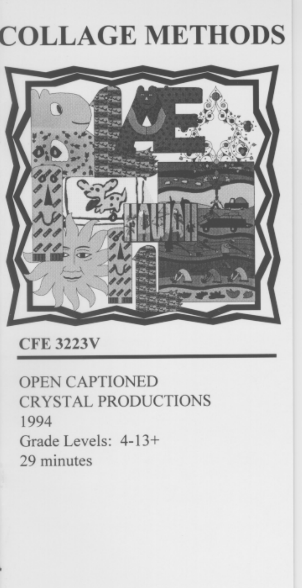# **COLLAGE METHODS**



# **CFE 3223V**

**OPEN CAPTIONED CRYSTAL PRODUCTIONS** 1994 Grade Levels: 4-13+ 29 minutes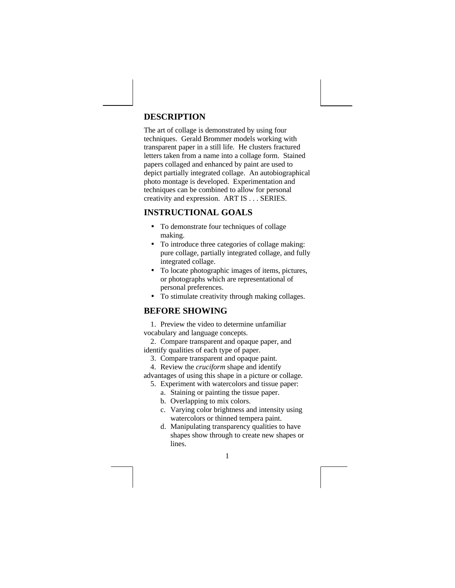# **DESCRIPTION**

The art of collage is demonstrated by using four techniques. Gerald Brommer models working with transparent paper in a still life. He clusters fractured letters taken from a name into a collage form. Stained papers collaged and enhanced by paint are used to depict partially integrated collage. An autobiographical photo montage is developed. Experimentation and techniques can be combined to allow for personal creativity and expression. ART IS . . . SERIES.

# **INSTRUCTIONAL GOALS**

- To demonstrate four techniques of collage making.
- To introduce three categories of collage making: pure collage, partially integrated collage, and fully integrated collage.
- To locate photographic images of items, pictures, or photographs which are representational of personal preferences.
- To stimulate creativity through making collages.

# **BEFORE SHOWING**

1. Preview the video to determine unfamiliar vocabulary and language concepts.

2. Compare transparent and opaque paper, and identify qualities of each type of paper.

- 3. Compare transparent and opaque paint.
- 4. Review the *cruciform* shape and identify
- advantages of using this shape in a picture or collage.
	- 5. Experiment with watercolors and tissue paper: a. Staining or painting the tissue paper.
		- b. Overlapping to mix colors.
		- c. Varying color brightness and intensity using
		- watercolors or thinned tempera paint.
		- d. Manipulating transparency qualities to have shapes show through to create new shapes or lines.

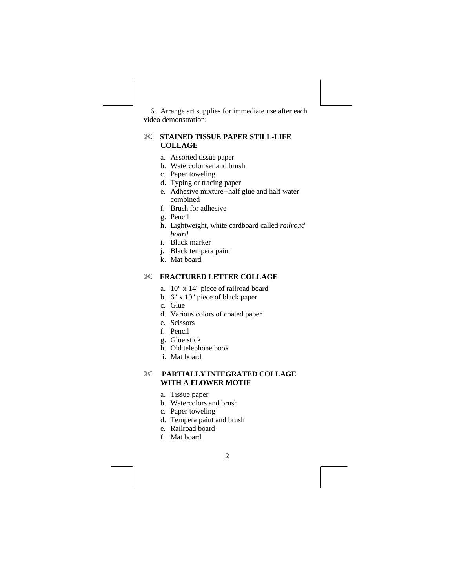6. Arrange art supplies for immediate use after each video demonstration:

#### % **STAINED TISSUE PAPER STILL-LIFE COLLAGE**

- a. Assorted tissue paper
- b. Watercolor set and brush
- c. Paper toweling
- d. Typing or tracing paper
- e. Adhesive mixture--half glue and half water combined
- f. Brush for adhesive
- g. Pencil
- h. Lightweight, white cardboard called *railroad board*
- i. Black marker
- j. Black tempera paint
- k. Mat board

#### % **FRACTURED LETTER COLLAGE**

- a. 10" x 14" piece of railroad board
- b. 6" x 10" piece of black paper
- c. Glue
- d. Various colors of coated paper
- e. Scissors
- f. Pencil
- g. Glue stick
- h. Old telephone book
- i. Mat board

# % **PARTIALLY INTEGRATED COLLAGE WITH A FLOWER MOTIF**

- a. Tissue paper
- b. Watercolors and brush
- c. Paper toweling
- d. Tempera paint and brush
- e. Railroad board
- f. Mat board

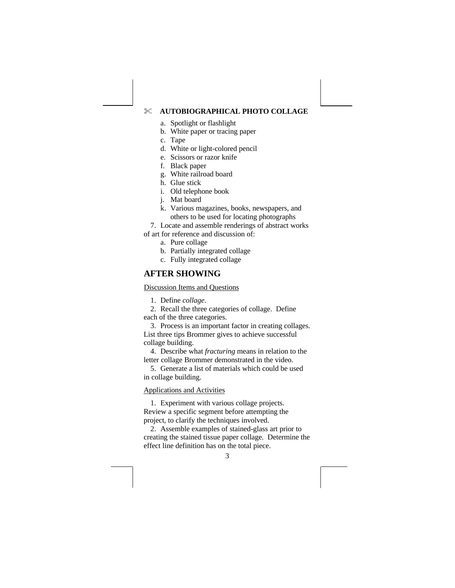#### % **AUTOBIOGRAPHICAL PHOTO COLLAGE**

- a. Spotlight or flashlight
- b. White paper or tracing paper
- c. Tape
- d. White or light-colored pencil
- e. Scissors or razor knife
- f. Black paper
- g. White railroad board
- h. Glue stick
- i. Old telephone book
- j. Mat board
- k. Various magazines, books, newspapers, and others to be used for locating photographs
- 7. Locate and assemble renderings of abstract works
- of art for reference and discussion of:
	- a. Pure collage
	- b. Partially integrated collage
	- c. Fully integrated collage

# **AFTER SHOWING**

#### Discussion Items and Questions

1. Define *collage*.

2. Recall the three categories of collage. Define each of the three categories.

3. Process is an important factor in creating collages. List three tips Brommer gives to achieve successful collage building.

4. Describe what *fracturing* means in relation to the letter collage Brommer demonstrated in the video.

5. Generate a list of materials which could be used in collage building.

#### Applications and Activities

1. Experiment with various collage projects. Review a specific segment before attempting the project, to clarify the techniques involved.

2. Assemble examples of stained-glass art prior to creating the stained tissue paper collage. Determine the effect line definition has on the total piece.

3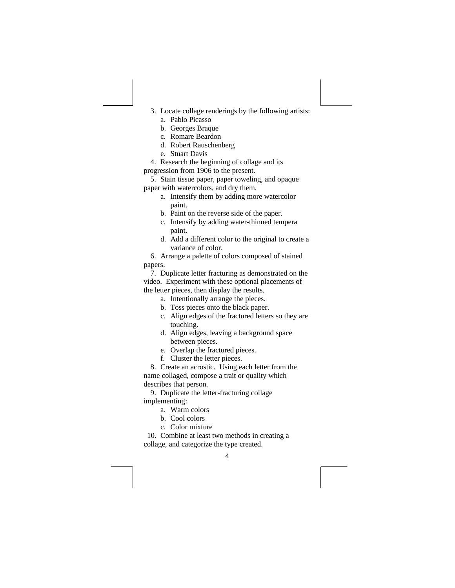- 3. Locate collage renderings by the following artists: a. Pablo Picasso
	- b. Georges Braque
	- c. Romare Beardon
	- d. Robert Rauschenberg
	- e. Stuart Davis
- 4. Research the beginning of collage and its progression from 1906 to the present.

5. Stain tissue paper, paper toweling, and opaque paper with watercolors, and dry them.

- a. Intensify them by adding more watercolor paint.
	- b. Paint on the reverse side of the paper.
	- c. Intensify by adding water-thinned tempera paint.
- d. Add a different color to the original to create a variance of color.

6. Arrange a palette of colors composed of stained papers.

7. Duplicate letter fracturing as demonstrated on the video. Experiment with these optional placements of the letter pieces, then display the results.

- a. Intentionally arrange the pieces.
- b. Toss pieces onto the black paper.
- c. Align edges of the fractured letters so they are touching.
- d. Align edges, leaving a background space between pieces.
- e. Overlap the fractured pieces.
- f. Cluster the letter pieces.

8. Create an acrostic. Using each letter from the name collaged, compose a trait or quality which describes that person.

9. Duplicate the letter-fracturing collage implementing:

- a. Warm colors
- b. Cool colors
- c. Color mixture

10. Combine at least two methods in creating a collage, and categorize the type created.

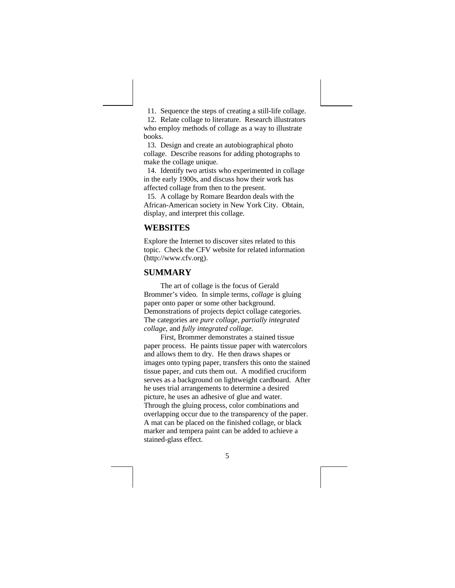11. Sequence the steps of creating a still-life collage. 12. Relate collage to literature. Research illustrators who employ methods of collage as a way to illustrate books.

13. Design and create an autobiographical photo collage. Describe reasons for adding photographs to make the collage unique.

14. Identify two artists who experimented in collage in the early 1900s, and discuss how their work has affected collage from then to the present.

15. A collage by Romare Beardon deals with the African-American society in New York City. Obtain, display, and interpret this collage.

#### **WEBSITES**

Explore the Internet to discover sites related to this topic. Check the CFV website for related information (http://www.cfv.org).

#### **SUMMARY**

The art of collage is the focus of Gerald Brommer's video. In simple terms, *collage* is gluing paper onto paper or some other background. Demonstrations of projects depict collage categories. The categories are *pure collage*, *partially integrated collage*, and *fully integrated collage*.

First, Brommer demonstrates a stained tissue paper process. He paints tissue paper with watercolors and allows them to dry. He then draws shapes or images onto typing paper, transfers this onto the stained tissue paper, and cuts them out. A modified cruciform serves as a background on lightweight cardboard. After he uses trial arrangements to determine a desired picture, he uses an adhesive of glue and water. Through the gluing process, color combinations and overlapping occur due to the transparency of the paper. A mat can be placed on the finished collage, or black marker and tempera paint can be added to achieve a stained-glass effect.

5